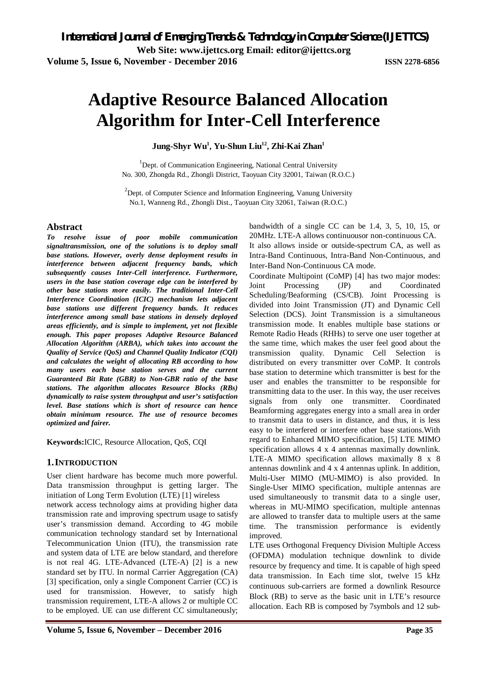# **Adaptive Resource Balanced Allocation Algorithm for Inter-Cell Interference**

**Jung-Shyr Wu<sup>1</sup> , Yu-Shun Liu<sup>12</sup> , Zhi-Kai Zhan<sup>1</sup>**

<sup>1</sup>Dept. of Communication Engineering, National Central University No. 300, Zhongda Rd., Zhongli District, Taoyuan City 32001, Taiwan (R.O.C.)

 $2$ Dept. of Computer Science and Information Engineering, Vanung University No.1, Wanneng Rd., Zhongli Dist., Taoyuan City 32061, Taiwan (R.O.C.)

### **Abstract**

*To resolve issue of poor mobile communication signaltransmission, one of the solutions is to deploy small base stations. However, overly dense deployment results in interference between adjacent frequency bands, which subsequently causes Inter-Cell interference. Furthermore, users in the base station coverage edge can be interfered by other base stations more easily. The traditional Inter-Cell Interference Coordination (ICIC) mechanism lets adjacent base stations use different frequency bands. It reduces interference among small base stations in densely deployed areas efficiently, and is simple to implement, yet not flexible enough. This paper proposes Adaptive Resource Balanced Allocation Algorithm (ARBA), which takes into account the Quality of Service (QoS) and Channel Quality Indicator (CQI) and calculates the weight of allocating RB according to how many users each base station serves and the current Guaranteed Bit Rate (GBR) to Non-GBR ratio of the base stations. The algorithm allocates Resource Blocks (RBs) dynamically to raise system throughput and user's satisfaction level. Base stations which is short of resource can hence obtain minimum resource. The use of resource becomes optimized and fairer.*

**Keywords:**ICIC, Resource Allocation, QoS, CQI

### **1.INTRODUCTION**

User client hardware has become much more powerful. Data transmission throughput is getting larger. The initiation of Long Term Evolution (LTE) [1] wireless network access technology aims at providing higher data transmission rate and improving spectrum usage to satisfy user's transmission demand. According to 4G mobile communication technology standard set by International Telecommunication Union (ITU), the transmission rate and system data of LTE are below standard, and therefore is not real 4G. LTE-Advanced (LTE-A) [2] is a new standard set by ITU. In normal Carrier Aggregation (CA) [3] specification, only a single Component Carrier (CC) is used for transmission. However, to satisfy high transmission requirement, LTE-A allows 2 or multiple CC to be employed. UE can use different CC simultaneously;

bandwidth of a single CC can be 1.4, 3, 5, 10, 15, or 20MHz. LTE-A allows continuousor non-continuous CA. It also allows inside or outside-spectrum CA, as well as Intra-Band Continuous, Intra-Band Non-Continuous, and Inter-Band Non-Continuous CA mode.

Coordinate Multipoint (CoMP) [4] has two major modes: Joint Processing (JP) and Coordinated Scheduling/Beaforming (CS/CB). Joint Processing is divided into Joint Transmission (JT) and Dynamic Cell Selection (DCS). Joint Transmission is a simultaneous transmission mode. It enables multiple base stations or Remote Radio Heads (RHHs) to serve one user together at the same time, which makes the user feel good about the transmission quality. Dynamic Cell Selection is distributed on every transmitter over CoMP. It controls base station to determine which transmitter is best for the user and enables the transmitter to be responsible for transmitting data to the user. In this way, the user receives signals from only one transmitter. Coordinated Beamforming aggregates energy into a small area in order to transmit data to users in distance, and thus, it is less easy to be interfered or interfere other base stations.With regard to Enhanced MIMO specification, [5] LTE MIMO specification allows 4 x 4 antennas maximally downlink. LTE-A MIMO specification allows maximally 8 x 8 antennas downlink and 4 x 4 antennas uplink. In addition, Multi-User MIMO (MU-MIMO) is also provided. In Single-User MIMO specification, multiple antennas are used simultaneously to transmit data to a single user, whereas in MU-MIMO specification, multiple antennas are allowed to transfer data to multiple users at the same time. The transmission performance is evidently improved.

LTE uses Orthogonal Frequency Division Multiple Access (OFDMA) modulation technique downlink to divide resource by frequency and time. It is capable of high speed data transmission. In Each time slot, twelve 15 kHz continuous sub-carriers are formed a downlink Resource Block (RB) to serve as the basic unit in LTE's resource allocation. Each RB is composed by 7symbols and 12 sub-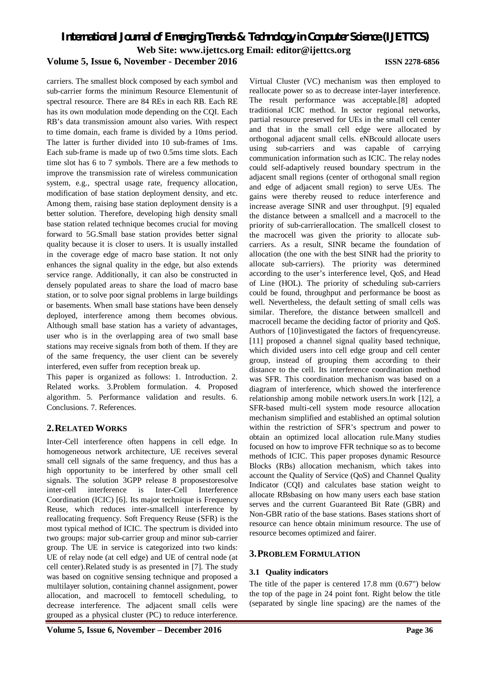carriers. The smallest block composed by each symbol and sub-carrier forms the minimum Resource Elementunit of spectral resource. There are 84 REs in each RB. Each RE has its own modulation mode depending on the CQI. Each RB's data transmission amount also varies. With respect to time domain, each frame is divided by a 10ms period. The latter is further divided into 10 sub-frames of 1ms. Each sub-frame is made up of two 0.5ms time slots. Each time slot has 6 to 7 symbols. There are a few methods to improve the transmission rate of wireless communication system, e.g., spectral usage rate, frequency allocation, modification of base station deployment density, and etc. Among them, raising base station deployment density is a better solution. Therefore, developing high density small base station related technique becomes crucial for moving forward to 5G.Small base station provides better signal quality because it is closer to users. It is usually installed in the coverage edge of macro base station. It not only enhances the signal quality in the edge, but also extends service range. Additionally, it can also be constructed in densely populated areas to share the load of macro base station, or to solve poor signal problems in large buildings or basements. When small base stations have been densely deployed, interference among them becomes obvious. Although small base station has a variety of advantages, user who is in the overlapping area of two small base stations may receive signals from both of them. If they are of the same frequency, the user client can be severely interfered, even suffer from reception break up.

This paper is organized as follows: 1. Introduction. 2. Related works. 3.Problem formulation. 4. Proposed algorithm. 5. Performance validation and results. 6. Conclusions. 7. References.

#### **2.RELATED WORKS**

Inter-Cell interference often happens in cell edge. In homogeneous network architecture, UE receives several small cell signals of the same frequency, and thus has a high opportunity to be interfered by other small cell signals. The solution 3GPP release 8 proposestoresolve inter-cell interference is Inter-Cell Interference Coordination (ICIC) [6]. Its major technique is Frequency Reuse, which reduces inter-smallcell interference by reallocating frequency. Soft Frequency Reuse (SFR) is the most typical method of ICIC. The spectrum is divided into two groups: major sub-carrier group and minor sub-carrier group. The UE in service is categorized into two kinds: UE of relay node (at cell edge) and UE of central node (at cell center).Related study is as presented in [7]. The study was based on cognitive sensing technique and proposed a multilayer solution, containing channel assignment, power allocation, and macrocell to femtocell scheduling, to decrease interference. The adjacent small cells were grouped as a physical cluster (PC) to reduce interference.

Virtual Cluster (VC) mechanism was then employed to reallocate power so as to decrease inter-layer interference. The result performance was acceptable.[8] adopted traditional ICIC method. In sector regional networks, partial resource preserved for UEs in the small cell center and that in the small cell edge were allocated by orthogonal adjacent small cells. eNBcould allocate users using sub-carriers and was capable of carrying communication information such as ICIC. The relay nodes could self-adaptively reused boundary spectrum in the adjacent small regions (center of orthogonal small region and edge of adjacent small region) to serve UEs. The gains were thereby reused to reduce interference and increase average SINR and user throughput. [9] equaled the distance between a smallcell and a macrocell to the priority of sub-carrierallocation. The smallcell closest to the macrocell was given the priority to allocate subcarriers. As a result, SINR became the foundation of allocation (the one with the best SINR had the priority to allocate sub-carriers). The priority was determined according to the user's interference level, QoS, and Head of Line (HOL). The priority of scheduling sub-carriers could be found, throughput and performance be boost as well. Nevertheless, the default setting of small cells was similar. Therefore, the distance between smallcell and macrocell became the deciding factor of priority and QoS. Authors of [10]investigated the factors of frequencyreuse. [11] proposed a channel signal quality based technique, which divided users into cell edge group and cell center group, instead of grouping them according to their distance to the cell. Its interference coordination method was SFR. This coordination mechanism was based on a diagram of interference, which showed the interference relationship among mobile network users.In work [12], a SFR-based multi-cell system mode resource allocation mechanism simplified and established an optimal solution within the restriction of SFR's spectrum and power to obtain an optimized local allocation rule.Many studies focused on how to improve FFR technique so as to become methods of ICIC. This paper proposes dynamic Resource Blocks (RBs) allocation mechanism, which takes into account the Quality of Service (QoS) and Channel Quality Indicator (CQI) and calculates base station weight to allocate RBsbasing on how many users each base station serves and the current Guaranteed Bit Rate (GBR) and Non-GBR ratio of the base stations. Bases stations short of resource can hence obtain minimum resource. The use of resource becomes optimized and fairer.

#### **3.PROBLEM FORMULATION**

#### **3.1 Quality indicators**

The title of the paper is centered 17.8 mm (0.67") below the top of the page in 24 point font. Right below the title (separated by single line spacing) are the names of the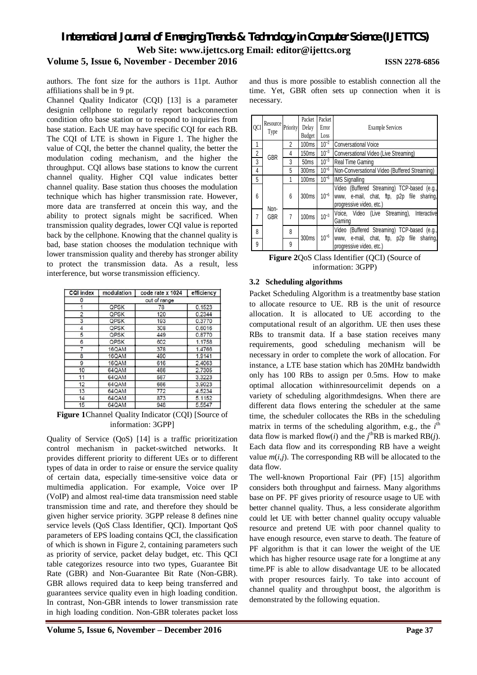### **Volume 5, Issue 6, November - December 2016 ISSN 2278-6856**

authors. The font size for the authors is 11pt. Author affiliations shall be in 9 pt.

Channel Quality Indicator (CQI) [13] is a parameter designin cellphone to regularly report backconnection condition ofto base station or to respond to inquiries from base station. Each UE may have specific CQI for each RB. The CQI of LTE is shown in Figure 1. The higher the value of CQI, the better the channel quality, the better the modulation coding mechanism, and the higher the throughput. CQI allows base stations to know the current channel quality. Higher CQI value indicates better channel quality. Base station thus chooses the modulation technique which has higher transmission rate. However, more data are transferred at oncein this way, and the ability to protect signals might be sacrificed. When transmission quality degrades, lower CQI value is reported back by the cellphone. Knowing that the channel quality is bad, base station chooses the modulation technique with lower transmission quality and thereby has stronger ability to protect the transmission data. As a result, less interference, but worse transmission efficiency.

| <b>CQI index</b> | modulation  | code rate x 1024 | efficiency |  |
|------------------|-------------|------------------|------------|--|
| 0                |             | out of range     |            |  |
|                  | QPSK        | 78               | 0.1523     |  |
| $\overline{c}$   | QPSK        | 120              | 0.2344     |  |
| 3                | QPSK        | 193              | 0.3770     |  |
| 4                | <b>QPSK</b> | 308              | 0.6016     |  |
| 5                | QPSK        | 449              | 0.8770     |  |
| 6                | QPSK        | 602              | 1.1758     |  |
| 7                | 16QAM       | 378              | 1.4766     |  |
| 8                | 16QAM       | 490              | 1.9141     |  |
| 9                | 16QAM       | 616              | 2.4063     |  |
| 10               | 64QAM       | 466              | 2.7305     |  |
| 11               | 64QAM       | 567              | 3.3223     |  |
| 12               | 64QAM       | 666              | 3.9023     |  |
| 13               | 64QAM       | 772              | 4.5234     |  |
| 14               | 64QAM       | 873              | 5.1152     |  |
| 15               | 64QAM       | 948              | 5.5547     |  |

**Figure 1**Channel Quality Indicator (CQI) [Source of information: 3GPP]

Quality of Service (QoS) [14] is a traffic prioritization control mechanism in packet-switched networks. It provides different priority to different UEs or to different types of data in order to raise or ensure the service quality of certain data, especially time-sensitive voice data or multimedia application. For example, Voice over IP (VoIP) and almost real-time data transmission need stable transmission time and rate, and therefore they should be given higher service priority. 3GPP release 8 defines nine service levels (QoS Class Identifier, QCI). Important QoS parameters of EPS loading contains QCI, the classification of which is shown in Figure 2, containing parameters such as priority of service, packet delay budget, etc. This QCI table categorizes resource into two types, Guarantee Bit Rate (GBR) and Non-Guarantee Bit Rate (Non-GBR). GBR allows required data to keep being transferred and guarantees service quality even in high loading condition. In contrast, Non-GBR intends to lower transmission rate in high loading condition. Non-GBR tolerates packet loss

and thus is more possible to establish connection all the time. Yet, GBR often sets up connection when it is necessary.

| QCI            | Resource<br>Type | Priority       | Packet<br>Delay<br>Budget | Packet<br>Error<br>Loss | <b>Example Services</b>                                                                                              |  |  |
|----------------|------------------|----------------|---------------------------|-------------------------|----------------------------------------------------------------------------------------------------------------------|--|--|
| 1              |                  | 2              | 100 <sub>ms</sub>         | $10^{-2}$               | <b>Conversational Voice</b>                                                                                          |  |  |
| $\overline{2}$ |                  | 4              | 150 <sub>ms</sub>         | $10^{-3}$               | Conversational Video (Live Streaming)                                                                                |  |  |
| 3              | <b>GBR</b>       | 3              | 50ms                      | $10^{-3}$               | Real Time Gaming                                                                                                     |  |  |
| 4              |                  | 5              | 300 <sub>ms</sub>         | $10^{-6}$               | Non-Conversational Video (Buffered Streaming)                                                                        |  |  |
| 5              |                  |                | 100 <sub>ms</sub>         | $10^{-6}$               | <b>IMS Signalling</b>                                                                                                |  |  |
| 6              | Non-             | 6              | 300 <sub>ms</sub>         | $10^{-6}$               | Video (Buffered Streaming) TCP-based (e.g.,<br>www, e-mail, chat, ftp, p2p file sharing,<br>progressive video, etc.) |  |  |
| 7              | <b>GBR</b>       | $\overline{7}$ | 100ms                     | $10^{-3}$               | Voice, Video (Live Streaming),<br>Interactive<br>Gaming                                                              |  |  |
| 8              |                  | 8              | 300 <sub>ms</sub>         | $10^{-6}$               | Video (Buffered Streaming) TCP-based (e.g.,                                                                          |  |  |
| 9              |                  | 9              |                           |                         | www, e-mail, chat, ftp, p2p file sharing,<br>progressive video, etc.)                                                |  |  |

**Figure 2**QoS Class Identifier (QCI) (Source of information: 3GPP)

#### **3.2 Scheduling algorithms**

Packet Scheduling Algorithm is a treatmentby base station to allocate resource to UE. RB is the unit of resource allocation. It is allocated to UE according to the computational result of an algorithm. UE then uses these RBs to transmit data. If a base station receives many requirements, good scheduling mechanism will be necessary in order to complete the work of allocation. For instance, a LTE base station which has 20MHz bandwidth only has 100 RBs to assign per 0.5ms. How to make optimal allocation withinresourcelimit depends on a variety of scheduling algorithmdesigns. When there are different data flows entering the scheduler at the same time, the scheduler collocates the RBs in the scheduling matrix in terms of the scheduling algorithm, e.g., the *i*<sup>th</sup> data flow is marked flow(*i*) and the  $j^{\text{th}}RB$  is marked RB(*j*). Each data flow and its corresponding RB have a weight value  $m(i,j)$ . The corresponding RB will be allocated to the data flow.

The well-known Proportional Fair (PF) [15] algorithm considers both throughput and fairness. Many algorithms base on PF. PF gives priority of resource usage to UE with better channel quality. Thus, a less considerate algorithm could let UE with better channel quality occupy valuable resource and pretend UE with poor channel quality to have enough resource, even starve to death. The feature of PF algorithm is that it can lower the weight of the UE which has higher resource usage rate for a longtime at any time.PF is able to allow disadvantage UE to be allocated with proper resources fairly. To take into account of channel quality and throughput boost, the algorithm is demonstrated by the following equation.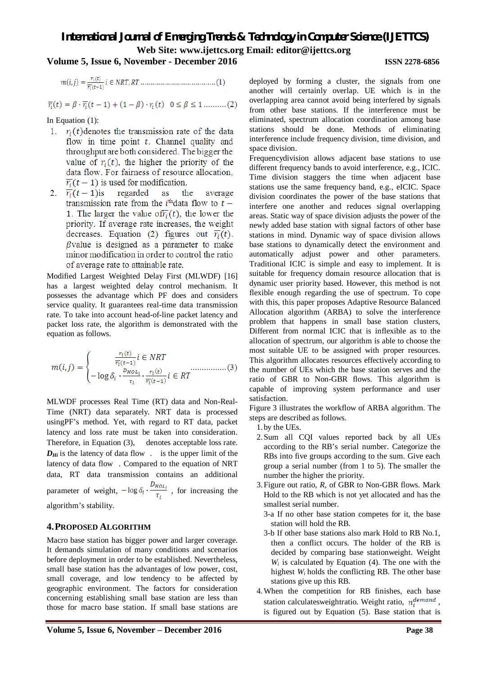### **Volume 5, Issue 6, November - December 2016 ISSN 2278-6856**

$$
\overline{r_i}(t) = \beta \cdot \overline{r_i}(t-1) + (1-\beta) \cdot r_i(t) \quad 0 \le \beta \le 1 \dots \dots (2)
$$

In Equation (1):

- 1.  $r_i(t)$  denotes the transmission rate of the data flow in time point  $t$ . Channel quality and throughput are both considered. The bigger the value of  $r<sub>i</sub>(t)$ , the higher the priority of the data flow. For fairness of resource allocation.  $\overline{r_i}(t-1)$  is used for modification.
- 2.  $\overline{r_i}(t-1)$ is regarded as the average transmission rate from the *i*<sup>th</sup> data flow to  $t$  – 1. The larger the value of  $\overline{r_i}(t)$ , the lower the priority. If average rate increases, the weight decreases. Equation (2) figures out  $\overline{r_i}(t)$ .  $\beta$  value is designed as a parameter to make minor modification in order to control the ratio of average rate to attainable rate.

Modified Largest Weighted Delay First (MLWDF) [16] has a largest weighted delay control mechanism. It possesses the advantage which PF does and considers service quality. It guarantees real-time data transmission rate. To take into account head-of-line packet latency and packet loss rate, the algorithm is demonstrated with the equation as follows.

$$
m(i,j) = \begin{cases} \frac{r_i(t)}{\overline{r_i}(t-1)} i \in NRT \\ -\log \delta_i \cdot \frac{v_{HOL_i}}{r_i} \cdot \frac{r_i(t)}{\overline{r_i}(t-1)} i \in RT \end{cases} \tag{3}
$$

MLWDF processes Real Time (RT) data and Non-Real-Time (NRT) data separately. NRT data is processed usingPF's method. Yet, with regard to RT data, packet latency and loss rate must be taken into consideration. Therefore, in Equation (3), denotes acceptable loss rate.  $D_{Hi}$  is the latency of data flow . is the upper limit of the latency of data flow . Compared to the equation of NRT data, RT data transmission contains an additional parameter of weight,  $-\log \delta_i \cdot \frac{D_{HOL_i}}{\tau_i}$ , for increasing the algorithm's stability.

#### **4.PROPOSED ALGORITHM**

Macro base station has bigger power and larger coverage. It demands simulation of many conditions and scenarios before deployment in order to be established. Nevertheless, small base station has the advantages of low power, cost, small coverage, and low tendency to be affected by geographic environment. The factors for consideration concerning establishing small base station are less than those for macro base station. If small base stations are

deployed by forming a cluster, the signals from one another will certainly overlap. UE which is in the overlapping area cannot avoid being interfered by signals from other base stations. If the interference must be eliminated, spectrum allocation coordination among base stations should be done. Methods of eliminating interference include frequency division, time division, and space division.

Frequencydivision allows adjacent base stations to use different frequency bands to avoid interference, e.g., ICIC. Time division staggers the time when adjacent base stations use the same frequency band, e.g., eICIC. Space division coordinates the power of the base stations that interfere one another and reduces signal overlapping areas. Static way of space division adjusts the power of the newly added base station with signal factors of other base stations in mind. Dynamic way of space division allows base stations to dynamically detect the environment and automatically adjust power and other parameters. Traditional ICIC is simple and easy to implement. It is suitable for frequency domain resource allocation that is dynamic user priority based. However, this method is not flexible enough regarding the use of spectrum. To cope with this, this paper proposes Adaptive Resource Balanced Allocation algorithm (ARBA) to solve the interference problem that happens in small base station clusters, Different from normal ICIC that is inflexible as to the allocation of spectrum, our algorithm is able to choose the most suitable UE to be assigned with proper resources. This algorithm allocates resources effectively according to the number of UEs which the base station serves and the ratio of GBR to Non-GBR flows. This algorithm is capable of improving system performance and user satisfaction.

Figure 3 illustrates the workflow of ARBA algorithm. The steps are described as follows.

1. by the UEs.

- 2.Sum all CQI values reported back by all UEs according to the RB's serial number. Categorize the RBs into five groups according to the sum. Give each group a serial number (from 1 to 5). The smaller the number the higher the priority.
- 3.Figure out ratio, *R*, of GBR to Non-GBR flows. Mark Hold to the RB which is not yet allocated and has the smallest serial number.
	- 3-a If no other base station competes for it, the base station will hold the RB.
	- 3-b If other base stations also mark Hold to RB No.1, then a conflict occurs. The holder of the RB is decided by comparing base stationweight. Weight  $W_i$  is calculated by Equation (4). The one with the highest *W<sup>i</sup>* holds the conflicting RB. The other base stations give up this RB.
- 4.When the competition for RB finishes, each base station calculatesweightratio. Weight ratio,  $n_i^{demand}$ , is figured out by Equation (5). Base station that is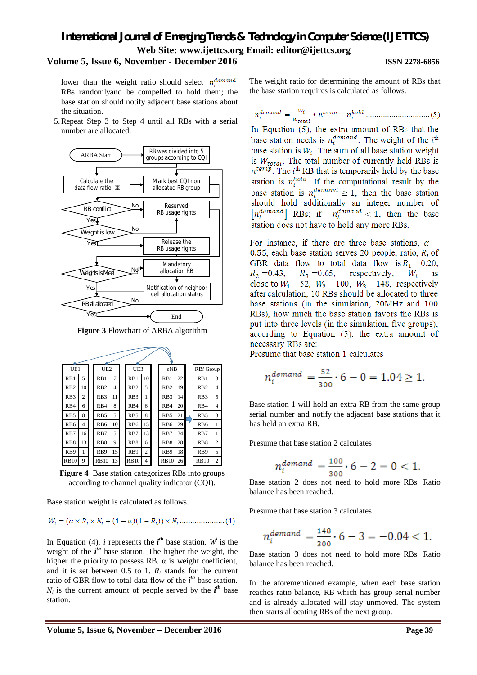#### **Volume 5, Issue 6, November - December 2016 ISSN 2278-6856**

lower than the weight ratio should select  $n_i^{demand}$ RBs randomlyand be compelled to hold them; the base station should notify adjacent base stations about the situation.

5.Repeat Step 3 to Step 4 until all RBs with a serial number are allocated.



**Figure 3** Flowchart of ARBA algorithm

| UE1              |    | UE <sub>2</sub><br>UE3 |                | eNB              |                | RBi Group        |    |                  |                |
|------------------|----|------------------------|----------------|------------------|----------------|------------------|----|------------------|----------------|
| RB1              | 5  | RB1                    | 7              | RB1              | 10             | R <sub>B1</sub>  | 22 | RB1              | 3              |
| R <sub>B2</sub>  | 10 | RB2                    | $\overline{4}$ | R <sub>B</sub> 2 | 5              | R <sub>B2</sub>  | 19 | R <sub>B</sub> 2 | 4              |
| RB <sub>3</sub>  | 2  | R <sub>B</sub> 3       | 11             | RB <sub>3</sub>  | 1              | R <sub>B</sub> 3 | 14 | RB <sub>3</sub>  | 5              |
| RB4              | 6  | R <sub>B4</sub>        | 8              | RB4              | 6              | R <sub>B4</sub>  | 20 | RB4              | 4              |
| RB <sub>5</sub>  | 8  | RB5                    | 5              | R <sub>B5</sub>  | 8              | RB5              | 21 | RB <sub>5</sub>  | 3              |
| RB <sub>6</sub>  | 4  | R <sub>B6</sub>        | 10             | R <sub>B6</sub>  | 15             | R <sub>B6</sub>  | 29 | RB <sub>6</sub>  | 1              |
| R <sub>B</sub> 7 | 16 | R <sub>B7</sub>        | 5              | R <sub>B</sub> 7 | 13             | R <sub>B7</sub>  | 34 | R <sub>B</sub> 7 | 1              |
| RB <sub>8</sub>  | 13 | R <sub>B</sub> 8       | 9              | RB <sub>8</sub>  | 6              | R <sub>B</sub> 8 | 28 | RB <sub>8</sub>  | 2              |
| RB <sub>9</sub>  | 1  | R <sub>B9</sub>        | 15             | RB9              | $\overline{c}$ | R <sub>B9</sub>  | 18 | RB9              | 5              |
| <b>RB10</b>      | 9  | <b>RB10</b>            | 13             | <b>RB10</b>      | 4              | <b>RB10</b>      | 26 | <b>RB10</b>      | $\overline{c}$ |

**Figure 4** Base station categorizes RBs into groups according to channel quality indicator (CQI).

Base station weight is calculated as follows.

$$
W_i = (\alpha \times R_i \times N_i + (1 - \alpha)(1 - R_i)) \times N_i \dots \dots \dots \dots \dots (4)
$$

In Equation (4), *i* represents the  $i^{th}$  base station. W<sup>*i*</sup> is the weight of the *i*<sup>th</sup> base station. The higher the weight, the higher the priority to possess RB.  $\alpha$  is weight coefficient, and it is set between  $0.5$  to 1.  $R_i$  stands for the current ratio of GBR flow to total data flow of the *i th* base station.  $N_i$  is the current amount of people served by the  $i^{th}$  base station.

The weight ratio for determining the amount of RBs that the base station requires is calculated as follows.

In Equation  $(5)$ , the extra amount of RBs that the base station needs is  $n_i^{demand}$ . The weight of the  $i^{\text{th}}$ base station is  $W_i$ . The sum of all base station weight is  $W_{total}$ . The total number of currently held RBs is  $n^{temp}$ . The  $i^{\text{th}}$  RB that is temporarily held by the base station is  $n_i^{hold}$ . If the computational result by the base station is  $n_i^{demand} \geq 1$ , then the base station should hold additionally an integer number of  $|n_i^{demand}|$  RBs; if  $n_i^{demand} < 1$ , then the base station does not have to hold any more RBs.

For instance, if there are three base stations,  $\alpha =$ 0.55, each base station serves 20 people, ratio,  $R$ , of GBR data flow to total data flow is  $R_1 = 0.20$ .  $R_2 = 0.43$ ,  $R_3 = 0.65$ , respectively,  $W_i$ is close to  $W_1 = 52$ ,  $W_2 = 100$ ,  $W_3 = 148$ , respectively after calculation, 10 RBs should be allocated to three base stations (in the simulation, 20MHz and 100 RBs), how much the base station favors the RBs is put into three levels (in the simulation, five groups). according to Equation  $(5)$ , the extra amount of necessary RBs are:

Presume that base station 1 calculates

$$
n_i^{demand} = \frac{52}{300} \cdot 6 - 0 = 1.04 \ge 1.
$$

Base station 1 will hold an extra RB from the same group serial number and notify the adjacent base stations that it has held an extra RB.

Presume that base station 2 calculates

$$
n_i^{demand} = \frac{100}{300} \cdot 6 - 2 = 0 < 1.
$$

Base station 2 does not need to hold more RBs. Ratio balance has been reached.

Presume that base station 3 calculates

$$
n_i^{demand} = \frac{148}{300} \cdot 6 - 3 = -0.04 < 1.
$$

Base station 3 does not need to hold more RBs. Ratio balance has been reached.

In the aforementioned example, when each base station reaches ratio balance, RB which has group serial number and is already allocated will stay unmoved. The system then starts allocating RBs of the next group.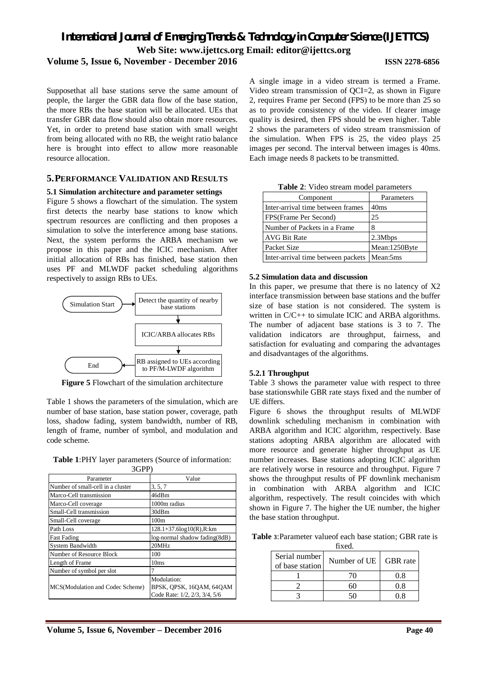Supposethat all base stations serve the same amount of people, the larger the GBR data flow of the base station, the more RBs the base station will be allocated. UEs that transfer GBR data flow should also obtain more resources. Yet, in order to pretend base station with small weight from being allocated with no RB, the weight ratio balance here is brought into effect to allow more reasonable resource allocation.

### **5.PERFORMANCE VALIDATION AND RESULTS**

#### **5.1 Simulation architecture and parameter settings**

Figure 5 shows a flowchart of the simulation. The system first detects the nearby base stations to know which spectrum resources are conflicting and then proposes a simulation to solve the interference among base stations. Next, the system performs the ARBA mechanism we propose in this paper and the ICIC mechanism. After initial allocation of RBs has finished, base station then uses PF and MLWDF packet scheduling algorithms respectively to assign RBs to UEs.



**Figure 5** Flowchart of the simulation architecture

Table 1 shows the parameters of the simulation, which are number of base station, base station power, coverage, path loss, shadow fading, system bandwidth, number of RB, length of frame, number of symbol, and modulation and code scheme.

**Table 1**:PHY layer parameters (Source of information:  $20P$ 

| Parameter                         | Value                                                                    |
|-----------------------------------|--------------------------------------------------------------------------|
| Number of small-cell in a cluster | 3, 5, 7                                                                  |
| Marco-Cell transmission           | 46dBm                                                                    |
| Marco-Cell coverage               | 1000m radius                                                             |
| Small-Cell transmission           | 30dBm                                                                    |
| Small-Cell coverage               | 100 <sub>m</sub>                                                         |
| Path Loss                         | 128.1+37.6log10(R),R:km                                                  |
| <b>Fast Fading</b>                | log-normal shadow fading(8dB)                                            |
| <b>System Bandwidth</b>           | 20MHz                                                                    |
| Number of Resource Block          | 100                                                                      |
| Length of Frame                   | 10ms                                                                     |
| Number of symbol per slot         |                                                                          |
| MCS(Modulation and Codec Scheme)  | Modulation:<br>BPSK, QPSK, 16QAM, 64QAM<br>Code Rate: 1/2, 2/3, 3/4, 5/6 |

A single image in a video stream is termed a Frame. Video stream transmission of QCI=2, as shown in Figure 2, requires Frame per Second (FPS) to be more than 25 so as to provide consistency of the video. If clearer image quality is desired, then FPS should be even higher. Table 2 shows the parameters of video stream transmission of the simulation. When FPS is 25, the video plays 25 images per second. The interval between images is 40ms. Each image needs 8 packets to be transmitted.

| $\mathbf{r}$ and $\mathbf{r}$ , where see called the set of a set of $\mathbf{r}$ |                  |
|-----------------------------------------------------------------------------------|------------------|
| Component                                                                         | Parameters       |
| Inter-arrival time between frames                                                 | 40 <sub>ms</sub> |
| FPS(Frame Per Second)                                                             | 25               |
| Number of Packets in a Frame                                                      | 8                |
| <b>AVG Bit Rate</b>                                                               | 2.3Mbps          |
| Packet Size                                                                       | Mean:1250Byte    |
| Inter-arrival time between packets                                                | Mean:5ms         |

**Table 2**: Video stream model parameters

#### **5.2 Simulation data and discussion**

In this paper, we presume that there is no latency of X2 interface transmission between base stations and the buffer size of base station is not considered. The system is written in  $C/C++$  to simulate ICIC and ARBA algorithms. The number of adjacent base stations is 3 to 7. The validation indicators are throughput, fairness, and satisfaction for evaluating and comparing the advantages and disadvantages of the algorithms.

#### **5.2.1 Throughput**

Table 3 shows the parameter value with respect to three base stationswhile GBR rate stays fixed and the number of UE differs.

Figure 6 shows the throughput results of MLWDF downlink scheduling mechanism in combination with ARBA algorithm and ICIC algorithm, respectively. Base stations adopting ARBA algorithm are allocated with more resource and generate higher throughput as UE number increases. Base stations adopting ICIC algorithm are relatively worse in resource and throughput. Figure 7 shows the throughput results of PF downlink mechanism in combination with ARBA algorithm and ICIC algorithm, respectively. The result coincides with which shown in Figure 7. The higher the UE number, the higher the base station throughput.

**Table 3**:Parameter valueof each base station; GBR rate is fixed.

| Serial number<br>of base station | Number of UE | <b>GBR</b> rate |
|----------------------------------|--------------|-----------------|
|                                  |              | 0.8             |
|                                  |              | 0 8             |
|                                  |              |                 |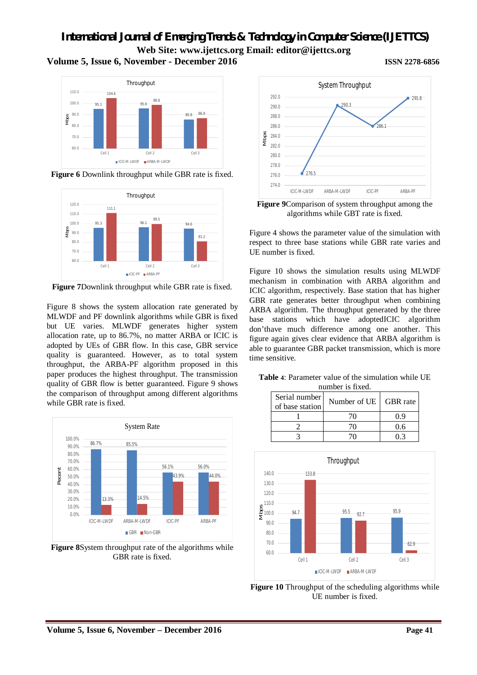## **Volume 5, Issue 6, November - December 2016 ISSN 2278-6856**

#### 95.1 95.6 85.8 86.9 104.6 98.8 60.0 70.0  $80.0$  $90.0$ 100.0 110.0 Cell 1 Cell 2 Cell 3 Throughput ICIC-M-LWDF ARBA-M-LWDF Mbps

**Figure 6** Downlink throughput while GBR rate is fixed.



**Figure 7**Downlink throughput while GBR rate is fixed.

Figure 8 shows the system allocation rate generated by MLWDF and PF downlink algorithms while GBR is fixed but UE varies. MLWDF generates higher system allocation rate, up to 86.7%, no matter ARBA or ICIC is adopted by UEs of GBR flow. In this case, GBR service quality is guaranteed. However, as to total system throughput, the ARBA-PF algorithm proposed in this paper produces the highest throughput. The transmission quality of GBR flow is better guaranteed. Figure 9 shows the comparison of throughput among different algorithms while GBR rate is fixed.



**Figure 8**System throughput rate of the algorithms while GBR rate is fixed.



**Figure 9**Comparison of system throughput among the algorithms while GBT rate is fixed.

Figure 4 shows the parameter value of the simulation with respect to three base stations while GBR rate varies and UE number is fixed.

Figure 10 shows the simulation results using MLWDF mechanism in combination with ARBA algorithm and ICIC algorithm, respectively. Base station that has higher GBR rate generates better throughput when combining ARBA algorithm. The throughput generated by the three base stations which have adoptedICIC algorithm don'thave much difference among one another. This figure again gives clear evidence that ARBA algorithm is able to guarantee GBR packet transmission, which is more time sensitive.

**Table 4**: Parameter value of the simulation while UE number is fixed.

| Serial number   | 11 8111001 1911 A.O.<br>Number of UE | GBR rate |  |
|-----------------|--------------------------------------|----------|--|
| of base station |                                      |          |  |
|                 |                                      | () 9     |  |
|                 |                                      | 0.6      |  |
|                 |                                      |          |  |



**Figure 10** Throughput of the scheduling algorithms while UE number is fixed.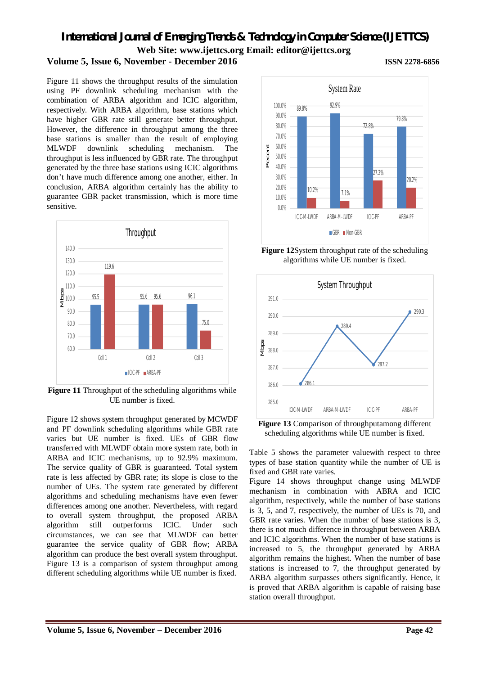## **Volume 5, Issue 6, November - December 2016 ISSN 2278-6856**

Figure 11 shows the throughput results of the simulation using PF downlink scheduling mechanism with the combination of ARBA algorithm and ICIC algorithm, respectively. With ARBA algorithm, base stations which have higher GBR rate still generate better throughput. However, the difference in throughput among the three base stations is smaller than the result of employing MLWDF downlink scheduling mechanism. The throughput is less influenced by GBR rate. The throughput generated by the three base stations using ICIC algorithms don't have much difference among one another, either. In conclusion, ARBA algorithm certainly has the ability to guarantee GBR packet transmission, which is more time sensitive.



**Figure 11** Throughput of the scheduling algorithms while UE number is fixed.

Figure 12 shows system throughput generated by MCWDF and PF downlink scheduling algorithms while GBR rate varies but UE number is fixed. UEs of GBR flow transferred with MLWDF obtain more system rate, both in ARBA and ICIC mechanisms, up to 92.9% maximum. The service quality of GBR is guaranteed. Total system rate is less affected by GBR rate; its slope is close to the number of UEs. The system rate generated by different algorithms and scheduling mechanisms have even fewer differences among one another. Nevertheless, with regard to overall system throughput, the proposed ARBA algorithm still outperforms ICIC. Under such circumstances, we can see that MLWDF can better guarantee the service quality of GBR flow; ARBA algorithm can produce the best overall system throughput. Figure 13 is a comparison of system throughput among different scheduling algorithms while UE number is fixed.



**Figure 12**System throughput rate of the scheduling algorithms while UE number is fixed.



**Figure 13** Comparison of throughputamong different scheduling algorithms while UE number is fixed.

Table 5 shows the parameter valuewith respect to three types of base station quantity while the number of UE is fixed and GBR rate varies.

Figure 14 shows throughput change using MLWDF mechanism in combination with ABRA and ICIC algorithm, respectively, while the number of base stations is 3, 5, and 7, respectively, the number of UEs is 70, and GBR rate varies. When the number of base stations is 3, there is not much difference in throughput between ARBA and ICIC algorithms. When the number of base stations is increased to 5, the throughput generated by ARBA algorithm remains the highest. When the number of base stations is increased to 7, the throughput generated by ARBA algorithm surpasses others significantly. Hence, it is proved that ARBA algorithm is capable of raising base station overall throughput.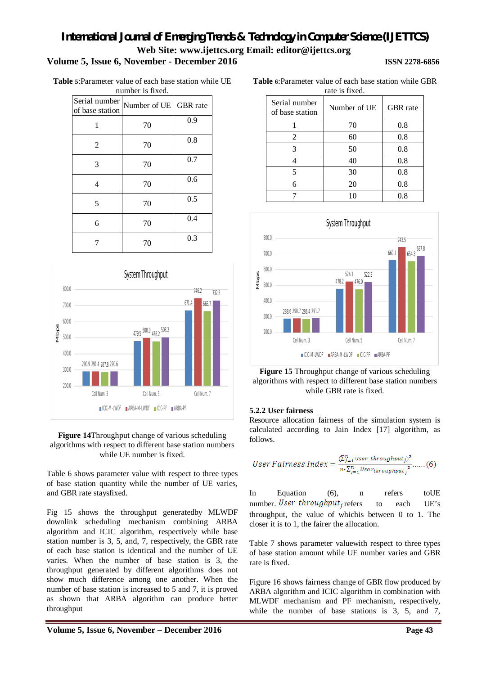**Table 5**:Parameter value of each base station while UE number is fixed.

|                                  | пишлет ту плеч.       |     |
|----------------------------------|-----------------------|-----|
| Serial number<br>of base station | Number of UE GBR rate |     |
| 1                                | 70                    | 0.9 |
| 2                                | 70                    | 0.8 |
| 3                                | 70                    | 0.7 |
| 4                                | 70                    | 0.6 |
| 5                                | 70                    | 0.5 |
| 6                                | 70                    | 0.4 |
|                                  | 70                    | 0.3 |





Table 6 shows parameter value with respect to three types of base station quantity while the number of UE varies, and GBR rate staysfixed.

Fig 15 shows the throughput generatedby MLWDF downlink scheduling mechanism combining ARBA algorithm and ICIC algorithm, respectively while base station number is 3, 5, and, 7, respectively, the GBR rate of each base station is identical and the number of UE varies. When the number of base station is 3, the throughput generated by different algorithms does not show much difference among one another. When the number of base station is increased to 5 and 7, it is proved as shown that ARBA algorithm can produce better throughput

| Serial number<br>of base station | Number of UE | <b>GBR</b> rate |
|----------------------------------|--------------|-----------------|
|                                  | 70           | 0.8             |
| 2                                | 60           | 0.8             |
| 3                                | 50           | 0.8             |
|                                  | 40           | 0.8             |
| 5                                | 30           | 0.8             |
| 6                                | 20           | 0.8             |
|                                  | 10           | $0.8\,$         |



**Figure 15** Throughput change of various scheduling algorithms with respect to different base station numbers while GBR rate is fixed.

#### **5.2.2 User fairness**

Resource allocation fairness of the simulation system is calculated according to Jain Index [17] algorithm, as follows.

*User Fairness Index* = 
$$
\frac{(\sum_{j=1}^{n} User\_throughput_j)^2}{n \times \sum_{j=1}^{n} User_{throughput_j}^2}
$$
......(6)

In Equation (6), n refers toUE number. User\_throughput<sub>i</sub> refers to each UE's throughput, the value of whichis between 0 to 1. The closer it is to 1, the fairer the allocation.

Table 7 shows parameter valuewith respect to three types of base station amount while UE number varies and GBR rate is fixed.

Figure 16 shows fairness change of GBR flow produced by ARBA algorithm and ICIC algorithm in combination with MLWDF mechanism and PF mechanism, respectively, while the number of base stations is 3, 5, and 7,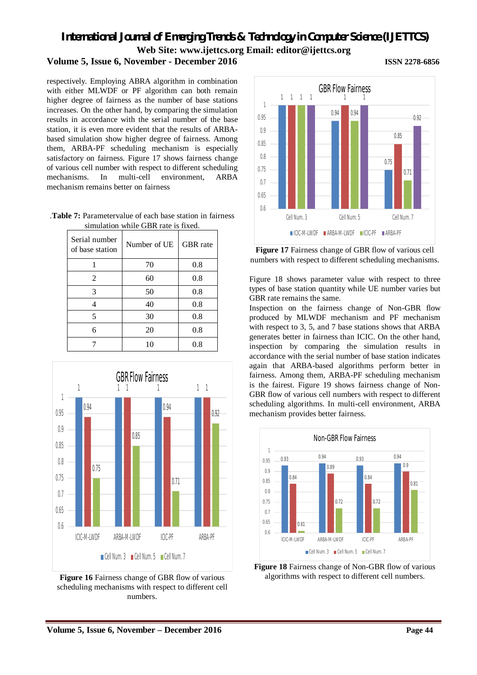## **Volume 5, Issue 6, November - December 2016 ISSN 2278-6856**

respectively. Employing ABRA algorithm in combination with either MLWDF or PF algorithm can both remain higher degree of fairness as the number of base stations increases. On the other hand, by comparing the simulation results in accordance with the serial number of the base station, it is even more evident that the results of ARBAbased simulation show higher degree of fairness. Among them, ARBA-PF scheduling mechanism is especially satisfactory on fairness. Figure 17 shows fairness change of various cell number with respect to different scheduling mechanisms. In multi-cell environment, ARBA mechanism remains better on fairness

.**Table 7:** Parametervalue of each base station in fairness simulation while GBR rate is fixed.

| Serial number<br>of base station | Number of UE | GBR rate |
|----------------------------------|--------------|----------|
|                                  | 70           | 0.8      |
| 2                                | 60           | 0.8      |
| 3                                | 50           | 0.8      |
| 4                                | 40           | 0.8      |
| 5                                | 30           | 0.8      |
| 6                                | 20           | 0.8      |
|                                  | 10           | 0.8      |



**Figure 16** Fairness change of GBR flow of various scheduling mechanisms with respect to different cell numbers.



**Figure 17** Fairness change of GBR flow of various cell numbers with respect to different scheduling mechanisms.

Figure 18 shows parameter value with respect to three types of base station quantity while UE number varies but GBR rate remains the same.

Inspection on the fairness change of Non-GBR flow produced by MLWDF mechanism and PF mechanism with respect to 3, 5, and 7 base stations shows that ARBA generates better in fairness than ICIC. On the other hand, inspection by comparing the simulation results in accordance with the serial number of base station indicates again that ARBA-based algorithms perform better in fairness. Among them, ARBA-PF scheduling mechanism is the fairest. Figure 19 shows fairness change of Non-GBR flow of various cell numbers with respect to different scheduling algorithms. In multi-cell environment, ARBA mechanism provides better fairness.



**Figure 18** Fairness change of Non-GBR flow of various algorithms with respect to different cell numbers.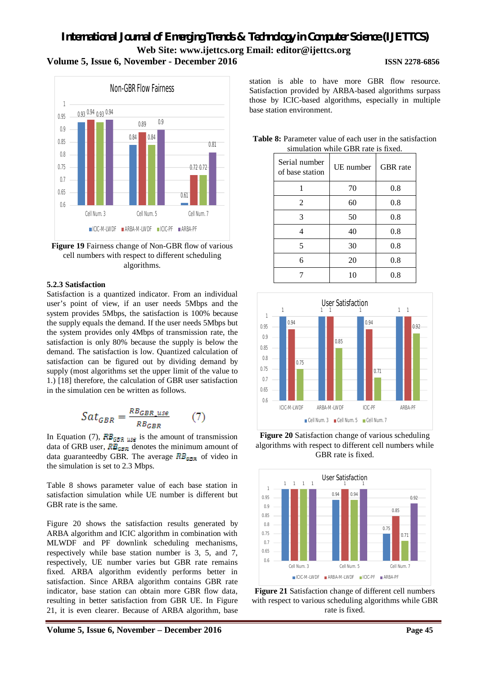

**Figure 19** Fairness change of Non-GBR flow of various cell numbers with respect to different scheduling algorithms.

#### **5.2.3 Satisfaction**

Satisfaction is a quantized indicator. From an individual user's point of view, if an user needs 5Mbps and the system provides 5Mbps, the satisfaction is 100% because the supply equals the demand. If the user needs 5Mbps but the system provides only 4Mbps of transmission rate, the satisfaction is only 80% because the supply is below the demand. The satisfaction is low. Quantized calculation of satisfaction can be figured out by dividing demand by supply (most algorithms set the upper limit of the value to 1.) [18] therefore, the calculation of GBR user satisfaction in the simulation cen be written as follows.

$$
Sat_{GBR} = \frac{RB_{GBR\_use}}{RB_{GBR}}\tag{7}
$$

In Equation (7),  $RB_{BFR \text{MSE}}$  is the amount of transmission data of GRB user,  $RB_{GBR}$  denotes the minimum amount of data guaranteedby GBR. The average  $RB_{\text{CBR}}$  of video in the simulation is set to 2.3 Mbps.

Table 8 shows parameter value of each base station in satisfaction simulation while UE number is different but GBR rate is the same.

Figure 20 shows the satisfaction results generated by ARBA algorithm and ICIC algorithm in combination with MLWDF and PF downlink scheduling mechanisms, respectively while base station number is 3, 5, and 7, respectively, UE number varies but GBR rate remains fixed. ARBA algorithm evidently performs better in satisfaction. Since ARBA algorithm contains GBR rate indicator, base station can obtain more GBR flow data, resulting in better satisfaction from GBR UE. In Figure 21, it is even clearer. Because of ARBA algorithm, base station is able to have more GBR flow resource. Satisfaction provided by ARBA-based algorithms surpass those by ICIC-based algorithms, especially in multiple base station environment.

**Table 8:** Parameter value of each user in the satisfaction simulation while GBR rate is fixed.

|                                  | shindhunon winne ODIX rute is macu. |          |
|----------------------------------|-------------------------------------|----------|
| Serial number<br>of base station | UE number                           | GBR rate |
|                                  | 70                                  | 0.8      |
| $\overline{2}$                   | 60                                  | 0.8      |
| 3                                | 50                                  | 0.8      |
| 4                                | 40                                  | 0.8      |
| 5                                | 30                                  | 0.8      |
| 6                                | 20                                  | 0.8      |
|                                  | 10                                  | 0.8      |



**Figure 20** Satisfaction change of various scheduling algorithms with respect to different cell numbers while GBR rate is fixed.



**Figure 21** Satisfaction change of different cell numbers with respect to various scheduling algorithms while GBR rate is fixed.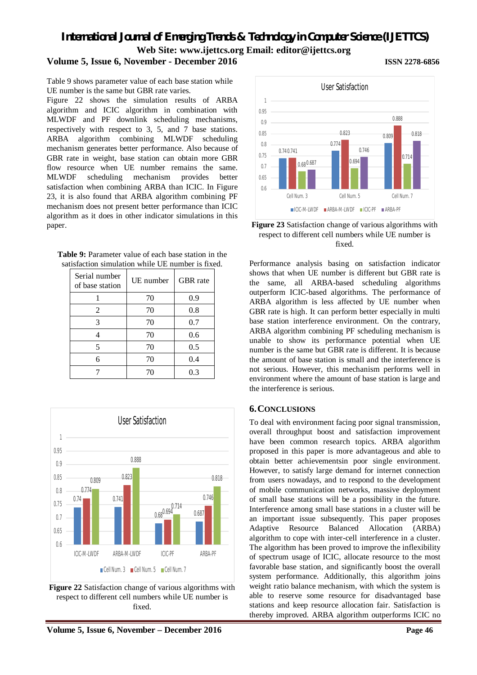## **Volume 5, Issue 6, November - December 2016 ISSN 2278-6856**

Table 9 shows parameter value of each base station while UE number is the same but GBR rate varies.

Figure 22 shows the simulation results of ARBA algorithm and ICIC algorithm in combination with MLWDF and PF downlink scheduling mechanisms, respectively with respect to 3, 5, and 7 base stations. ARBA algorithm combining MLWDF scheduling mechanism generates better performance. Also because of GBR rate in weight, base station can obtain more GBR flow resource when UE number remains the same. MLWDF scheduling mechanism provides better satisfaction when combining ARBA than ICIC. In Figure 23, it is also found that ARBA algorithm combining PF mechanism does not present better performance than ICIC algorithm as it does in other indicator simulations in this paper.

| <b>Table 9:</b> Parameter value of each base station in the |
|-------------------------------------------------------------|
| satisfaction simulation while UE number is fixed.           |

| Serial number<br>of base station | UE number | <b>GBR</b> rate |
|----------------------------------|-----------|-----------------|
|                                  | 70        | 0.9             |
| 2                                | 70        | 0.8             |
| 3                                | 70        | 0.7             |
|                                  | 70        | 0.6             |
| 5                                | 70        | 0.5             |
| 6                                | 70        | 0.4             |
|                                  | 70        | 0.3             |



**Figure 22** Satisfaction change of various algorithms with respect to different cell numbers while UE number is fixed.





**Figure 23** Satisfaction change of various algorithms with respect to different cell numbers while UE number is fixed.

Performance analysis basing on satisfaction indicator shows that when UE number is different but GBR rate is the same, all ARBA-based scheduling algorithms outperform ICIC-based algorithms. The performance of ARBA algorithm is less affected by UE number when GBR rate is high. It can perform better especially in multi base station interference environment. On the contrary, ARBA algorithm combining PF scheduling mechanism is unable to show its performance potential when UE number is the same but GBR rate is different. It is because the amount of base station is small and the interference is not serious. However, this mechanism performs well in environment where the amount of base station is large and the interference is serious.

#### **6.CONCLUSIONS**

To deal with environment facing poor signal transmission, overall throughput boost and satisfaction improvement have been common research topics. ARBA algorithm proposed in this paper is more advantageous and able to obtain better achievementsin poor single environment. However, to satisfy large demand for internet connection from users nowadays, and to respond to the development of mobile communication networks, massive deployment of small base stations will be a possibility in the future. Interference among small base stations in a cluster will be an important issue subsequently. This paper proposes Adaptive Resource Balanced Allocation (ARBA) algorithm to cope with inter-cell interference in a cluster. The algorithm has been proved to improve the inflexibility of spectrum usage of ICIC, allocate resource to the most favorable base station, and significantly boost the overall system performance. Additionally, this algorithm joins weight ratio balance mechanism, with which the system is able to reserve some resource for disadvantaged base stations and keep resource allocation fair. Satisfaction is thereby improved. ARBA algorithm outperforms ICIC no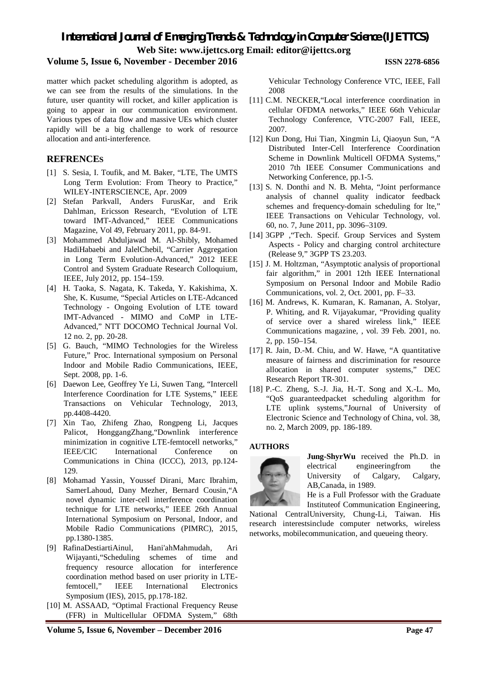**Volume 5, Issue 6, November - December 2016 ISSN 2278-6856**

matter which packet scheduling algorithm is adopted, as we can see from the results of the simulations. In the future, user quantity will rocket, and killer application is going to appear in our communication environment. Various types of data flow and massive UEs which cluster rapidly will be a big challenge to work of resource allocation and anti-interference.

## **REFRENCES**

- [1] S. Sesia, I. Toufik, and M. Baker, "LTE, The UMTS Long Term Evolution: From Theory to Practice," WILEY-INTERSCIENCE, Apr. 2009
- [2] Stefan Parkvall, Anders FurusKar, and Erik Dahlman, Ericsson Research, "Evolution of LTE toward IMT-Advanced," IEEE Communications Magazine, Vol 49, February 2011, pp. 84-91.
- [3] Mohammed Abduljawad M. Al-Shibly, Mohamed HadiHabaebi and JalelChebil, "Carrier Aggregation in Long Term Evolution-Advanced," 2012 IEEE Control and System Graduate Research Colloquium, IEEE, July 2012, pp. 154–159.
- [4] H. Taoka, S. Nagata, K. Takeda, Y. Kakishima, X. She, K. Kusume, "Special Articles on LTE-Adcanced Technology - Ongoing Evolution of LTE toward IMT-Advanced - MIMO and CoMP in LTE-Advanced," NTT DOCOMO Technical Journal Vol. 12 no. 2, pp. 20-28.
- [5] G. Bauch, "MIMO Technologies for the Wireless Future," Proc. International symposium on Personal Indoor and Mobile Radio Communications, IEEE, Sept. 2008, pp. 1-6.
- [6] Daewon Lee, Geoffrey Ye Li, Suwen Tang, "Intercell Interference Coordination for LTE Systems," IEEE Transactions on Vehicular Technology, 2013, pp.4408-4420.
- [7] Xin Tao, Zhifeng Zhao, Rongpeng Li, Jacques Palicot, HonggangZhang,"Downlink interference minimization in cognitive LTE-femtocell networks," IEEE/CIC International Conference on Communications in China (ICCC), 2013, pp.124- 129.
- [8] Mohamad Yassin, Youssef Dirani, Marc Ibrahim, SamerLahoud, Dany Mezher, Bernard Cousin,"A novel dynamic inter-cell interference coordination technique for LTE networks," IEEE 26th Annual International Symposium on Personal, Indoor, and Mobile Radio Communications (PIMRC), 2015, pp.1380-1385.
- [9] RafinaDestiartiAinul, Hani'ahMahmudah, Ari Wijayanti,"Scheduling schemes of time and frequency resource allocation for interference coordination method based on user priority in LTEfemtocell," IEEE International Electronics Symposium (IES), 2015, pp.178-182.
- [10] M. ASSAAD, "Optimal Fractional Frequency Reuse (FFR) in Multicellular OFDMA System," 68th

Vehicular Technology Conference VTC, IEEE, Fall 2008

- [11] C.M. NECKER, "Local interference coordination in cellular OFDMA networks," IEEE 66th Vehicular Technology Conference, VTC-2007 Fall, IEEE, 2007.
- [12] Kun Dong, Hui Tian, Xingmin Li, Qiaoyun Sun, "A Distributed Inter-Cell Interference Coordination Scheme in Downlink Multicell OFDMA Systems," 2010 7th IEEE Consumer Communications and Networking Conference, pp.1-5.
- [13] S. N. Donthi and N. B. Mehta, "Joint performance analysis of channel quality indicator feedback schemes and frequency-domain scheduling for lte," IEEE Transactions on Vehicular Technology, vol. 60, no. 7, June 2011, pp. 3096–3109.
- [14] 3GPP ,"Tech. Specif. Group Services and System Aspects - Policy and charging control architecture (Release 9," 3GPP TS 23.203.
- [15] J. M. Holtzman, "Asymptotic analysis of proportional fair algorithm," in 2001 12th IEEE International Symposium on Personal Indoor and Mobile Radio Communications, vol. 2, Oct. 2001, pp. F–33.
- [16] M. Andrews, K. Kumaran, K. Ramanan, A. Stolyar, P. Whiting, and R. Vijayakumar, "Providing quality of service over a shared wireless link," IEEE Communications magazine, , vol. 39 Feb. 2001, no. 2, pp. 150–154.
- [17] R. Jain, D.-M. Chiu, and W. Hawe, "A quantitative measure of fairness and discrimination for resource allocation in shared computer systems," DEC Research Report TR-301.
- [18] P.-C. Zheng, S.-J. Jia, H.-T. Song and X.-L. Mo, "QoS guaranteedpacket scheduling algorithm for LTE uplink systems,"Journal of University of Electronic Science and Technology of China, vol. 38, no. 2, March 2009, pp. 186-189.

#### **AUTHORS**



**Jung-ShyrWu** received the Ph.D. in electrical engineeringfrom the University of Calgary, Calgary, AB,Canada, in 1989.

He is a Full Professor with the Graduate Instituteof Communication Engineering,

National CentralUniversity, Chung-Li, Taiwan. His research interestsinclude computer networks, wireless networks, mobilecommunication, and queueing theory.